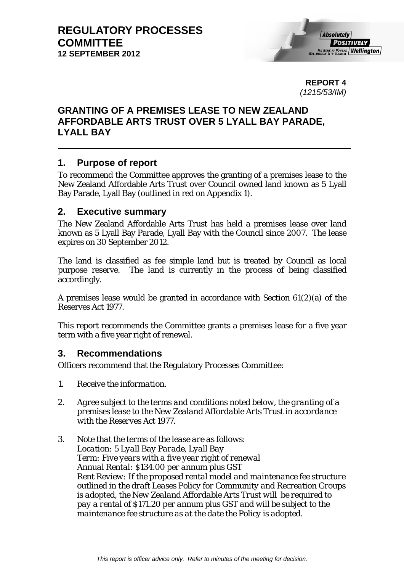**REPORT 4**  *(1215/53/IM)* 

# **GRANTING OF A PREMISES LEASE TO NEW ZEALAND AFFORDABLE ARTS TRUST OVER 5 LYALL BAY PARADE, LYALL BAY**

# **1. Purpose of report**

To recommend the Committee approves the granting of a premises lease to the New Zealand Affordable Arts Trust over Council owned land known as 5 Lyall Bay Parade, Lyall Bay (outlined in red on Appendix 1).

## **2. Executive summary**

The New Zealand Affordable Arts Trust has held a premises lease over land known as 5 Lyall Bay Parade, Lyall Bay with the Council since 2007. The lease expires on 30 September 2012.

The land is classified as fee simple land but is treated by Council as local purpose reserve. The land is currently in the process of being classified accordingly.

A premises lease would be granted in accordance with Section 61(2)(a) of the Reserves Act 1977.

This report recommends the Committee grants a premises lease for a five year term with a five year right of renewal.

# **3. Recommendations**

Officers recommend that the Regulatory Processes Committee:

- *1. Receive the information.*
- *2. Agree subject to the terms and conditions noted below, the granting of a premises lease to the New Zealand Affordable Arts Trust in accordance with the Reserves Act 1977.*
- *3. Note that the terms of the lease are as follows: Location: 5 Lyall Bay Parade, Lyall Bay Term: Five years with a five year right of renewal Annual Rental: \$134.00 per annum plus GST Rent Review: If the proposed rental model and maintenance fee structure outlined in the draft Leases Policy for Community and Recreation Groups is adopted, the New Zealand Affordable Arts Trust will be required to pay a rental of \$171.20 per annum plus GST and will be subject to the maintenance fee structure as at the date the Policy is adopted.*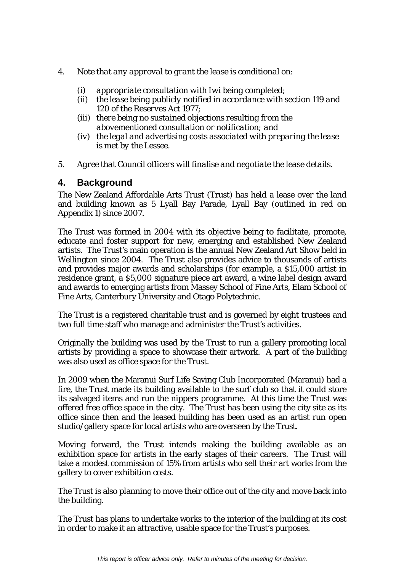- *4. Note that any approval to grant the lease is conditional on:* 
	- *(i) appropriate consultation with Iwi being completed;*
	- *(ii) the lease being publicly notified in accordance with section 119 and 120 of the Reserves Act 1977;*
	- *(iii) there being no sustained objections resulting from the abovementioned consultation or notification; and*
	- *(iv) the legal and advertising costs associated with preparing the lease is met by the Lessee.*
- *5. Agree that Council officers will finalise and negotiate the lease details.*

## **4. Background**

The New Zealand Affordable Arts Trust (Trust) has held a lease over the land and building known as 5 Lyall Bay Parade, Lyall Bay (outlined in red on Appendix 1) since 2007.

The Trust was formed in 2004 with its objective being to facilitate, promote, educate and foster support for new, emerging and established New Zealand artists. The Trust's main operation is the annual New Zealand Art Show held in Wellington since 2004. The Trust also provides advice to thousands of artists and provides major awards and scholarships (for example, a \$15,000 artist in residence grant, a \$5,000 signature piece art award, a wine label design award and awards to emerging artists from Massey School of Fine Arts, Elam School of Fine Arts, Canterbury University and Otago Polytechnic.

The Trust is a registered charitable trust and is governed by eight trustees and two full time staff who manage and administer the Trust's activities.

Originally the building was used by the Trust to run a gallery promoting local artists by providing a space to showcase their artwork. A part of the building was also used as office space for the Trust.

In 2009 when the Maranui Surf Life Saving Club Incorporated (Maranui) had a fire, the Trust made its building available to the surf club so that it could store its salvaged items and run the nippers programme. At this time the Trust was offered free office space in the city. The Trust has been using the city site as its office since then and the leased building has been used as an artist run open studio/gallery space for local artists who are overseen by the Trust.

Moving forward, the Trust intends making the building available as an exhibition space for artists in the early stages of their careers. The Trust will take a modest commission of 15% from artists who sell their art works from the gallery to cover exhibition costs.

The Trust is also planning to move their office out of the city and move back into the building.

The Trust has plans to undertake works to the interior of the building at its cost in order to make it an attractive, usable space for the Trust's purposes.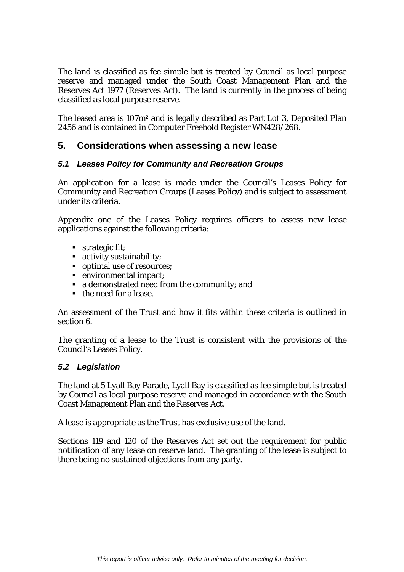The land is classified as fee simple but is treated by Council as local purpose reserve and managed under the South Coast Management Plan and the Reserves Act 1977 (Reserves Act). The land is currently in the process of being classified as local purpose reserve.

The leased area is 107m² and is legally described as Part Lot 3, Deposited Plan 2456 and is contained in Computer Freehold Register WN428/268.

# **5. Considerations when assessing a new lease**

### *5.1 Leases Policy for Community and Recreation Groups*

An application for a lease is made under the Council's Leases Policy for Community and Recreation Groups (Leases Policy) and is subject to assessment under its criteria.

Appendix one of the Leases Policy requires officers to assess new lease applications against the following criteria:

- **strategic fit;**
- activity sustainability;
- optimal use of resources;
- environmental impact;
- a demonstrated need from the community; and
- the need for a lease.

An assessment of the Trust and how it fits within these criteria is outlined in section 6.

The granting of a lease to the Trust is consistent with the provisions of the Council's Leases Policy.

#### *5.2 Legislation*

The land at 5 Lyall Bay Parade, Lyall Bay is classified as fee simple but is treated by Council as local purpose reserve and managed in accordance with the South Coast Management Plan and the Reserves Act.

A lease is appropriate as the Trust has exclusive use of the land.

Sections 119 and 120 of the Reserves Act set out the requirement for public notification of any lease on reserve land. The granting of the lease is subject to there being no sustained objections from any party.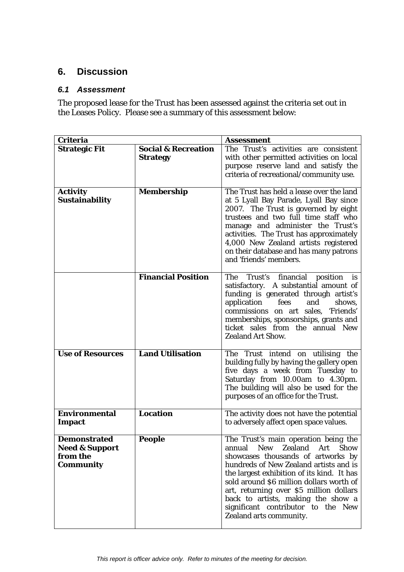# **6. Discussion**

### *6.1 Assessment*

The proposed lease for the Trust has been assessed against the criteria set out in the Leases Policy. Please see a summary of this assessment below:

| <b>Criteria</b>                                                                  |                                | <b>Assessment</b>                                                                                                                                                                                                                                                                                                                                                                                                         |
|----------------------------------------------------------------------------------|--------------------------------|---------------------------------------------------------------------------------------------------------------------------------------------------------------------------------------------------------------------------------------------------------------------------------------------------------------------------------------------------------------------------------------------------------------------------|
| <b>Strategic Fit</b>                                                             | <b>Social &amp; Recreation</b> | The Trust's activities are consistent                                                                                                                                                                                                                                                                                                                                                                                     |
|                                                                                  | <b>Strategy</b>                | with other permitted activities on local                                                                                                                                                                                                                                                                                                                                                                                  |
|                                                                                  |                                | purpose reserve land and satisfy the                                                                                                                                                                                                                                                                                                                                                                                      |
|                                                                                  |                                | criteria of recreational/community use.                                                                                                                                                                                                                                                                                                                                                                                   |
| <b>Activity</b><br><b>Sustainability</b>                                         | Membership                     | The Trust has held a lease over the land<br>at 5 Lyall Bay Parade, Lyall Bay since                                                                                                                                                                                                                                                                                                                                        |
|                                                                                  |                                | 2007. The Trust is governed by eight<br>trustees and two full time staff who<br>manage and administer the Trust's<br>activities. The Trust has approximately<br>4,000 New Zealand artists registered<br>on their database and has many patrons<br>and 'friends' members.                                                                                                                                                  |
|                                                                                  | <b>Financial Position</b>      | The Trust's financial position is<br>satisfactory. A substantial amount of<br>funding is generated through artist's<br>application<br>fees<br>and<br>shows,<br>commissions on art sales, 'Friends'<br>memberships, sponsorships, grants and<br>ticket sales from the annual New<br><b>Zealand Art Show.</b>                                                                                                               |
| <b>Use of Resources</b>                                                          | <b>Land Utilisation</b>        | The Trust intend on utilising the<br>building fully by having the gallery open<br>five days a week from Tuesday to<br>Saturday from 10.00am to 4.30pm.<br>The building will also be used for the<br>purposes of an office for the Trust.                                                                                                                                                                                  |
| <b>Environmental</b><br><b>Impact</b>                                            | <b>Location</b>                | The activity does not have the potential<br>to adversely affect open space values.                                                                                                                                                                                                                                                                                                                                        |
| <b>Demonstrated</b><br><b>Need &amp; Support</b><br>from the<br><b>Community</b> | <b>People</b>                  | The Trust's main operation being the<br><b>New</b><br>Zealand<br><b>Show</b><br>annual<br>Art<br>showcases thousands of artworks by<br>hundreds of New Zealand artists and is<br>the largest exhibition of its kind. It has<br>sold around \$6 million dollars worth of<br>art, returning over \$5 million dollars<br>back to artists, making the show a<br>significant contributor to the New<br>Zealand arts community. |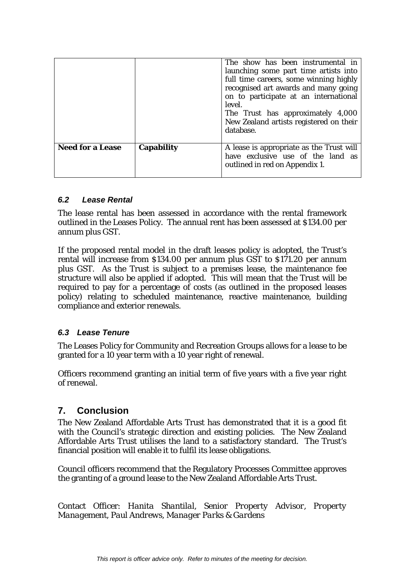|                         |                   | The show has been instrumental in<br>launching some part time artists into<br>full time careers, some winning highly<br>recognised art awards and many going<br>on to participate at an international<br>level.<br>The Trust has approximately 4,000<br>New Zealand artists registered on their<br>database. |
|-------------------------|-------------------|--------------------------------------------------------------------------------------------------------------------------------------------------------------------------------------------------------------------------------------------------------------------------------------------------------------|
| <b>Need for a Lease</b> | <b>Capability</b> | A lease is appropriate as the Trust will<br>have exclusive use of the land as<br>outlined in red on Appendix 1.                                                                                                                                                                                              |

### *6.2 Lease Rental*

The lease rental has been assessed in accordance with the rental framework outlined in the Leases Policy. The annual rent has been assessed at \$134.00 per annum plus GST.

If the proposed rental model in the draft leases policy is adopted, the Trust's rental will increase from \$134.00 per annum plus GST to \$171.20 per annum plus GST. As the Trust is subject to a premises lease, the maintenance fee structure will also be applied if adopted. This will mean that the Trust will be required to pay for a percentage of costs (as outlined in the proposed leases policy) relating to scheduled maintenance, reactive maintenance, building compliance and exterior renewals.

### *6.3 Lease Tenure*

The Leases Policy for Community and Recreation Groups allows for a lease to be granted for a 10 year term with a 10 year right of renewal.

Officers recommend granting an initial term of five years with a five year right of renewal.

# **7. Conclusion**

The New Zealand Affordable Arts Trust has demonstrated that it is a good fit with the Council's strategic direction and existing policies. The New Zealand Affordable Arts Trust utilises the land to a satisfactory standard. The Trust's financial position will enable it to fulfil its lease obligations.

Council officers recommend that the Regulatory Processes Committee approves the granting of a ground lease to the New Zealand Affordable Arts Trust.

Contact Officer: *Hanita Shantilal, Senior Property Advisor, Property Management, Paul Andrews, Manager Parks & Gardens*